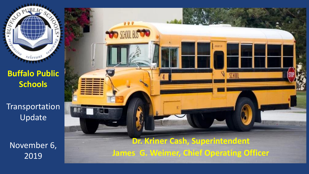**Buffalo Public Schools**

 $rel_{eval}$ 

**CONTROL** 

 $\approx$ 

Transportation Update

November 6, 2019

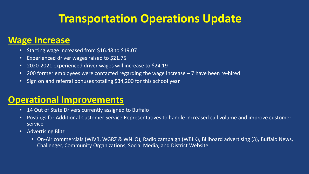# **Transportation Operations Update**

#### **Wage Increase**

- Starting wage increased from \$16.48 to \$19.07
- Experienced driver wages raised to \$21.75
- 2020-2021 experienced driver wages will increase to \$24.19
- 200 former employees were contacted regarding the wage increase 7 have been re-hired
- Sign on and referral bonuses totaling \$34,200 for this school year

### **Operational Improvements**

- 14 Out of State Drivers currently assigned to Buffalo
- Postings for Additional Customer Service Representatives to handle increased call volume and improve customer service
- Advertising Blitz
	- On-Air commercials (WIVB, WGRZ & WNLO), Radio campaign (WBLK), Billboard advertising (3), Buffalo News, Challenger, Community Organizations, Social Media, and District Website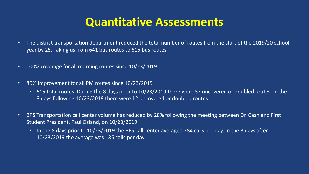## **Quantitative Assessments**

- The district transportation department reduced the total number of routes from the start of the 2019/20 school year by 25. Taking us from 641 bus routes to 615 bus routes.
- 100% coverage for all morning routes since 10/23/2019.
- 86% improvement for all PM routes since 10/23/2019
	- 615 total routes. During the 8 days prior to 10/23/2019 there were 87 uncovered or doubled routes. In the 8 days following 10/23/2019 there were 12 uncovered or doubled routes.
- BPS Transportation call center volume has reduced by 28% following the meeting between Dr. Cash and First Student President, Paul Osland, on 10/23/2019
	- In the 8 days prior to 10/23/2019 the BPS call center averaged 284 calls per day. In the 8 days after 10/23/2019 the average was 185 calls per day.